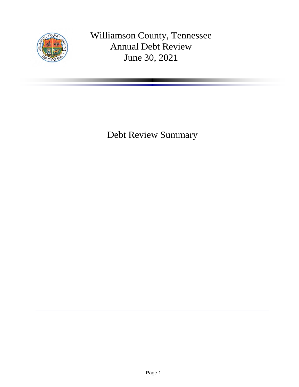

Williamson County, Tennessee Annual Debt Review June 30, 2021

Debt Review Summary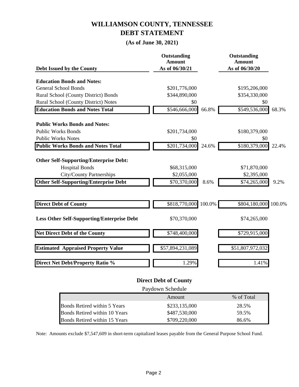### **WILLIAMSON COUNTY, TENNESSEE DEBT STATEMENT**

### **(As of June 30, 2021)**

| Debt Issued by the County                         | Outstanding<br><b>Amount</b><br>As of 06/30/21 | Outstanding<br><b>Amount</b><br>As of 06/30/20 |
|---------------------------------------------------|------------------------------------------------|------------------------------------------------|
|                                                   |                                                |                                                |
| <b>Education Bonds and Notes:</b>                 |                                                |                                                |
| <b>General School Bonds</b>                       | \$201,776,000                                  | \$195,206,000                                  |
| Rural School (County District) Bonds              | \$344,890,000                                  | \$354,330,000                                  |
| Rural School (County District) Notes              | \$0                                            | \$0                                            |
| <b>Education Bonds and Notes Total</b>            | 66.8%<br>\$546,666,000                         | \$549,536,000<br>68.3%                         |
| <b>Public Works Bonds and Notes:</b>              |                                                |                                                |
| <b>Public Works Bonds</b>                         | \$201,734,000                                  | \$180,379,000                                  |
| <b>Public Works Notes</b>                         | \$0                                            | \$0                                            |
| <b>Public Works Bonds and Notes Total</b>         | $\overline{$}201,734,000$<br>24.6%             | \$180,379,000<br>22.4%                         |
| <b>Other Self-Supporting/Enterprise Debt:</b>     |                                                |                                                |
| <b>Hospital Bonds</b>                             | \$68,315,000                                   | \$71,870,000                                   |
| <b>City/County Partnerships</b>                   | \$2,055,000                                    | \$2,395,000                                    |
| <b>Other Self-Supporting/Enterprise Debt</b>      | \$70,370,000<br>8.6%                           | \$74,265,000<br>9.2%                           |
|                                                   |                                                |                                                |
| <b>Direct Debt of County</b>                      | \$818,770,000<br>100.0%                        | \$804,180,000<br>100.0%                        |
| <b>Less Other Self-Supporting/Enterprise Debt</b> | \$70,370,000                                   | \$74,265,000                                   |
| <b>Net Direct Debt of the County</b>              | \$748,400,000                                  | \$729,915,000                                  |
| <b>Estimated Appraised Property Value</b>         | \$57,894,231,089                               | \$51,807,972,032                               |
| <b>Direct Net Debt/Property Ratio %</b>           | 1.29%                                          | 1.41%                                          |

#### **Direct Debt of County**

| Paydown Schedule              |               |       |  |  |
|-------------------------------|---------------|-------|--|--|
| % of Total<br>Amount          |               |       |  |  |
| Bonds Retired within 5 Years  | \$233,135,000 | 28.5% |  |  |
| Bonds Retired within 10 Years | \$487,530,000 | 59.5% |  |  |
| Bonds Retired within 15 Years | \$709,220,000 | 86.6% |  |  |

Note: Amounts exclude \$7,547,609 in short-term capitalized leases payable from the General Purpose School Fund.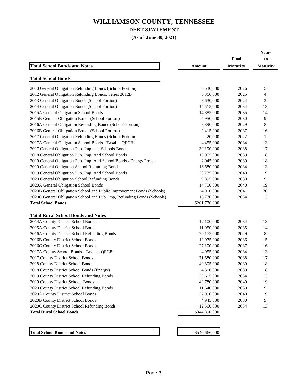#### **DEBT STATEMENT**

**(As of June 30, 2021)**

|                                                                                                      |                             |                          | Years                 |
|------------------------------------------------------------------------------------------------------|-----------------------------|--------------------------|-----------------------|
| <b>Total School Bonds and Notes</b>                                                                  | Amount                      | Final<br><b>Maturity</b> | to<br><b>Maturity</b> |
|                                                                                                      |                             |                          |                       |
| <b>Total School Bonds</b>                                                                            |                             |                          |                       |
| 2010 General Obligation Refunding Bonds (School Portion)                                             | 6,530,000                   | 2026                     | 5                     |
| 2012 General Obligation Refunding Bonds, Series 2012B                                                | 3,366,000                   | 2025                     | 4                     |
| 2013 General Obligation Bonds (School Portion)                                                       | 3,630,000                   | 2024                     | 3                     |
| 2014 General Obligation Bonds (School Portion)                                                       | 14,515,000                  | 2034                     | 13                    |
| 2015A General Obligation School Bonds                                                                | 14,885,000                  | 2035                     | 14                    |
| 2015B General Obligation Bonds (School Portion)                                                      | 4,950,000                   | 2030                     | 9                     |
| 2016A General Obligation Refunding Bonds (School Portion)                                            | 8,890,000                   | 2029                     | 8                     |
| 2016B General Obligation Bonds (School Portion)                                                      | 2,415,000                   | 2037                     | 16                    |
| 2017 General Obligation Refunding Bonds (School Portion)                                             | 20,000                      | 2022                     | 1                     |
| 2017A General Obligation School Bonds - Taxable QECBs                                                | 4,455,000                   | 2034                     | 13                    |
| 2017 General Obligation Pub. Imp. and Schools Bonds                                                  | 30,190,000                  | 2038                     | 17                    |
| 2018 General Obligation Pub. Imp. And School Bonds                                                   | 13,055,000                  | 2039                     | 18                    |
| 2019 General Obligation Pub. Imp. And School Bonds - Energy Project                                  | 2,045,000                   | 2039                     | 18                    |
| 2019 General Obligation School Refunding Bonds                                                       | 16,680,000                  | 2034                     | 13                    |
| 2019 General Obligation Pub. Imp. And School Bonds                                                   | 30,775,000                  | 2040                     | 19                    |
| 2020 General Obligation School Refunding Bonds                                                       | 9,895,000                   | 2030                     | 9                     |
|                                                                                                      |                             | 2040                     |                       |
| 2020A General Obligation School Bonds                                                                | 14,700,000                  | 2041                     | 19                    |
| 2020B General Obligation School and Public Improvement Bonds (Schools)                               | 4,010,000                   |                          | 20                    |
| 2020C General Obligation School and Pub. Imp, Refunding Bonds (Schools)<br><b>Total School Bonds</b> | 16,770,000<br>\$201,776,000 | 2034                     | 13                    |
|                                                                                                      |                             |                          |                       |
| <b>Total Rural School Bonds and Notes</b>                                                            |                             |                          |                       |
| 2014A County District School Bonds                                                                   | 12,100,000                  | 2034                     | 13                    |
| 2015A County District School Bonds                                                                   | 11,050,000                  | 2035                     | 14                    |
| 2016A County District School Refunding Bonds                                                         | 20,175,000                  | 2029                     | 8                     |
| 2016B County District School Bonds                                                                   | 12,075,000                  | 2036                     | 15                    |
| 2016C County District School Bonds                                                                   | 27,100,000                  | 2037                     | 16                    |
| 2017A County School Bonds - Taxable QECBs                                                            | 4,055,000                   | 2034                     | 13                    |
|                                                                                                      |                             |                          |                       |
| 2017 County District School Bonds                                                                    | 71,680,000                  | 2038<br>2039             | 17                    |
| 2018 County District School Bonds                                                                    | 40,805,000                  |                          | 18                    |
| 2018 County District School Bonds (Energy)                                                           | 4,310,000                   | 2039                     | 18                    |
| 2019 County District School Refunding Bonds                                                          | 30,615,000                  | 2034                     | 13                    |
| 2019 County District School Bonds                                                                    | 49,780,000                  | 2040                     | 19                    |
| 2020 County District School Refunding Bonds                                                          | 11,640,000                  | 2030                     | 9                     |
| 2020A County District School Bonds                                                                   | 32,000,000                  | 2040                     | 19                    |
| 2020B County District School Bonds                                                                   | 4,945,000                   | 2030                     | 9                     |
| 2020C County District School Refunding Bonds                                                         | 12,560,000                  | 2034                     | 13                    |
| <b>Total Rural School Bonds</b>                                                                      | \$344,890,000               |                          |                       |
|                                                                                                      |                             |                          |                       |
|                                                                                                      |                             |                          |                       |
| <b>Total School Bonds and Notes</b>                                                                  | \$546,666,000               |                          |                       |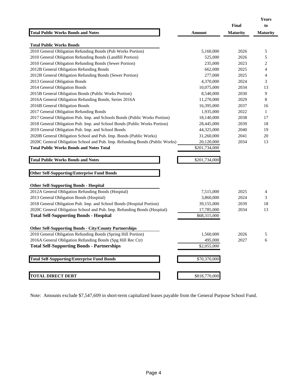|                                                                              |               |                 | <b>Years</b>    |
|------------------------------------------------------------------------------|---------------|-----------------|-----------------|
|                                                                              |               | <b>Final</b>    | to              |
| <b>Total Public Works Bonds and Notes</b>                                    | Amount        | <b>Maturity</b> | <b>Maturity</b> |
| <b>Total Public Works Bonds</b>                                              |               |                 |                 |
| 2010 General Obligation Refunding Bonds (Pub Works Portion)                  | 5,160,000     | 2026            | 5               |
| 2010 General Obligation Refunding Bonds (Landfill Portion)                   | 525,000       | 2026            | 5               |
| 2010 General Obligation Refunding Bonds (Sewer Portion)                      | 235,000       | 2023            | 2               |
| 2012B General Obligation Refunding Bonds                                     | 662,000       | 2025            | 4               |
| 2012B General Obligation Refunding Bonds (Sewer Portion)                     | 277,000       | 2025            | 4               |
| 2013 General Obligation Bonds                                                | 4,370,000     | 2024            | 3               |
| 2014 General Obligation Bonds                                                | 10,075,000    | 2034            | 13              |
| 2015B General Obligation Bonds (Public Works Portion)                        | 8,540,000     | 2030            | 9               |
| 2016A General Obligation Refunding Bonds, Series 2016A                       | 11,270,000    | 2029            | 8               |
| 2016B General Obligation Bonds                                               | 16,395,000    | 2037            | 16              |
| 2017 General Obligation Refunding Bonds                                      | 1,935,000     | 2022            | 1               |
| 2017 General Obligation Pub. Imp. and Schools Bonds (Public Works Portion)   | 18,140,000    | 2038            | 17              |
| 2018 General Obligation Pub. Imp. and School Bonds (Public Works Portion)    | 28,445,000    | 2039            | 18              |
| 2019 General Obligation Pub. Imp. and School Bonds                           | 44,325,000    | 2040            | 19              |
| 2020B General Obligation School and Pub. Imp. Bonds (Public Works)           | 31,260,000    | 2041            | 20              |
| 2020C General Obligation School and Pub. Imp. Refunding Bonds (Public Works) | 20,120,000    | 2034            | 13              |
| <b>Total Public Works Bonds and Notes Total</b>                              | \$201,734,000 |                 |                 |
| <b>Total Public Works Bonds and Notes</b>                                    | \$201,734,000 |                 |                 |
|                                                                              |               |                 |                 |
| <b>Other Self-Supporting/Enterprise Fund Bonds</b>                           |               |                 |                 |
| <b>Other Self-Supporting Bonds - Hospital</b>                                |               |                 |                 |
| 2012A General Obligation Refunding Bonds (Hospital)                          | 7,515,000     | 2025            | 4               |
| 2013 General Obligation Bonds (Hospital)                                     | 3,860,000     | 2024            | 3               |
| 2018 General Obligation Pub. Imp. and School Bonds (Hospital Portion)        | 39,155,000    | 2039            | 18              |
| 2020C General Obligation School and Pub. Imp. Refunding Bonds (Hospital)     | 17,785,000    | 2034            | 13              |
| <b>Total Self-Supporting Bonds - Hospital</b>                                | \$68,315,000  |                 |                 |
| <b>Other Self-Supporting Bonds - City/County Partnerships</b>                |               |                 |                 |
| 2010 General Obligation Refunding Bonds (Spring Hill Portion)                | 1.560,000     | 2026            | 5               |
| 2016A General Obligation Refunding Bonds (Spg Hill Rec Ctr)                  | 495,000       | 2027            | 6               |
| <b>Total Self-Supporting Bonds - Partnerships</b>                            | \$2,055,000   |                 |                 |
|                                                                              |               |                 |                 |
| <b>Total Self-Supporting/Enterprise Fund Bonds</b>                           | \$70,370,000  |                 |                 |
|                                                                              |               |                 |                 |
| <b>TOTAL DIRECT DEBT</b>                                                     | \$818,770,000 |                 |                 |

Note: Amounts exclude \$7,547,609 in short-term capitalized leases payable from the General Purpose School Fund.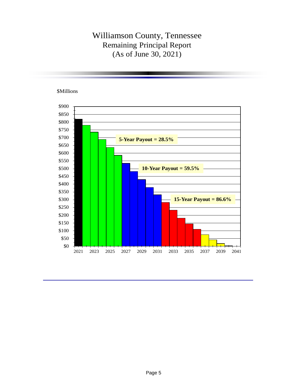## Williamson County, Tennessee Remaining Principal Report (As of June 30, 2021)

\$Millions

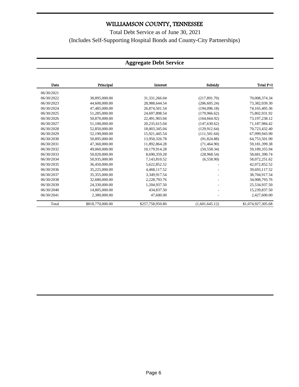Total Debt Service as of June 30, 2021 (Includes Self-Supporting Hospital Bonds and County-City Partnerships)

### **Aggregate Debt Service**

| Date       | Principal        | Interest         | Subsidy        | Total P+I          |
|------------|------------------|------------------|----------------|--------------------|
| 06/30/2021 |                  |                  |                |                    |
| 06/30/2022 | 38,895,000.00    | 31, 331, 266.04  | (217,891.70)   | 70,008,374.34      |
| 06/30/2023 | 44,600,000.00    | 28,988,644.54    | (206, 605.24)  | 73,382,039.30      |
| 06/30/2024 | 47,485,000.00    | 26,874,501.54    | (194,096.18)   | 74,165,405.36      |
| 06/30/2025 | 51,285,000.00    | 24.697.898.54    | (179.966.62)   | 75,802,931.92      |
| 06/30/2026 | 50,870,000.00    | 22,491,903.04    | (164, 664.92)  | 73,197,238.12      |
| 06/30/2027 | 51,100,000.00    | 20,235,615.04    | (147, 630.62)  | 71,187,984.42      |
| 06/30/2028 | 52,850,000.00    | 18,003,345.04    | (129.912.64)   | 70,723,432.40      |
| 06/30/2029 | 52,190,000.00    | 15,921,445.54    | (111, 501.64)  | 67,999,943.90      |
| 06/30/2030 | 50,895,000.00    | 13,950,326.78    | (91,824.88)    | 64,753,501.90      |
| 06/30/2031 | 47,360,000.00    | 11,892,864.28    | (71, 464.90)   | 59,181,399.38      |
| 06/30/2032 | 49,060,000.00    | 10,179,914.28    | (50, 558.34)   | 59,189,355.94      |
| 06/30/2033 | 50,020,000.00    | 8,690,359.28     | (28,968.54)    | 58,681,390.74      |
| 06/30/2034 | 50,935,000.00    | 7,143,810.52     | (6, 558.90)    | 58,072,251.62      |
| 06/30/2035 | 36,450,000.00    | 5.622.852.52     |                | 42,072,852.52      |
| 06/30/2036 | 35,225,000.00    | 4,468,117.52     |                | 39,693,117.52      |
| 06/30/2037 | 35,355,000.00    | 3,349,917.54     |                | 38,704,917.54      |
| 06/30/2038 | 32,680,000.00    | 2,228,793.76     |                | 34,908,793.76      |
| 06/30/2039 | 24,330,000.00    | 1,204,937.50     |                | 25,534,937.50      |
| 06/30/2040 | 14,805,000.00    | 434,837.50       |                | 15,239,837.50      |
| 06/30/2041 | 2,380,000.00     | 47,600.00        |                | 2,427,600.00       |
| Total      | \$818,770,000.00 | \$257,758,950.80 | (1,601,645.12) | \$1,074,927,305.68 |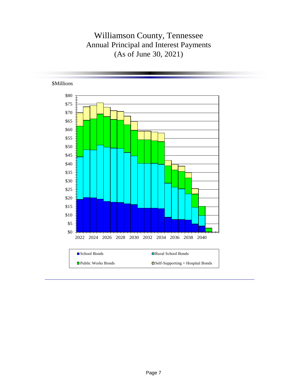## Williamson County, Tennessee Annual Principal and Interest Payments (As of June 30, 2021)

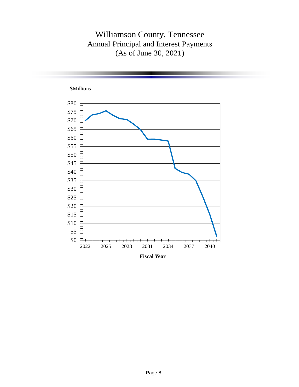## Williamson County, Tennessee Annual Principal and Interest Payments (As of June 30, 2021)

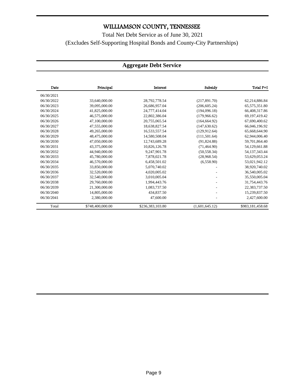Total Net Debt Service as of June 30, 2021 (Excludes Self-Supporting Hospital Bonds and County-City Partnerships)

#### **Aggregate Debt Service**

| Date       | Principal        | Interest         | Subsidy        | Total P+I        |
|------------|------------------|------------------|----------------|------------------|
| 06/30/2021 |                  |                  |                |                  |
| 06/30/2022 | 33,640,000.00    | 28,792,778.54    | (217,891.70)   | 62,214,886.84    |
| 06/30/2023 | 39,095,000.00    | 26,686,957.04    | (206, 605.24)  | 65,575,351.80    |
| 06/30/2024 | 41,825,000.00    | 24,777,414.04    | (194,096.18)   | 66,408,317.86    |
| 06/30/2025 | 46,575,000.00    | 22,802,386.04    | (179,966.62)   | 69,197,419.42    |
| 06/30/2026 | 47,100,000.00    | 20,755,065.54    | (164, 664.92)  | 67,690,400.62    |
| 06/30/2027 | 47,555,000.00    | 18,638,827.54    | (147, 630.62)  | 66,046,196.92    |
| 06/30/2028 | 49.265,000.00    | 16,533,557.54    | (129, 912.64)  | 65,668,644.90    |
| 06/30/2029 | 48.475,000.00    | 14,580,508.04    | (111, 501.64)  | 62,944,006.40    |
| 06/30/2030 | 47,050,000.00    | 12,743,689.28    | (91,824.88)    | 59,701,864.40    |
| 06/30/2031 | 43,375,000.00    | 10,826,126.78    | (71, 464.90)   | 54,129,661.88    |
| 06/30/2032 | 44,940,000.00    | 9,247,901.78     | (50, 558.34)   | 54, 137, 343. 44 |
| 06/30/2033 | 45,780,000.00    | 7,878,021.78     | (28,968.54)    | 53,629,053.24    |
| 06/30/2034 | 46,570,000.00    | 6.458.501.02     | (6,558.90)     | 53,021,942.12    |
| 06/30/2035 | 33,850,000.00    | 5,070,740.02     |                | 38,920,740.02    |
| 06/30/2036 | 32,520,000.00    | 4,020,005.02     |                | 36,540,005.02    |
| 06/30/2037 | 32,540,000.00    | 3,010,005.04     |                | 35,550,005.04    |
| 06/30/2038 | 29,760,000.00    | 1,994,443.76     |                | 31,754,443.76    |
| 06/30/2039 | 21,300,000.00    | 1,083,737.50     |                | 22,383,737.50    |
| 06/30/2040 | 14,805,000.00    | 434,837.50       |                | 15,239,837.50    |
| 06/30/2041 | 2,380,000.00     | 47,600.00        |                | 2,427,600.00     |
| Total      | \$748,400,000.00 | \$236,383,103.80 | (1,601,645.12) | \$983,181,458.68 |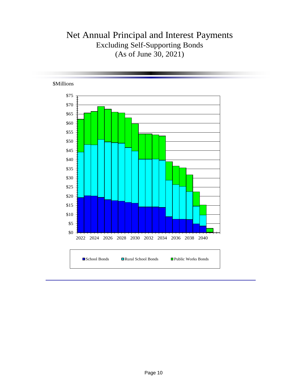# Net Annual Principal and Interest Payments Excluding Self-Supporting Bonds (As of June 30, 2021)

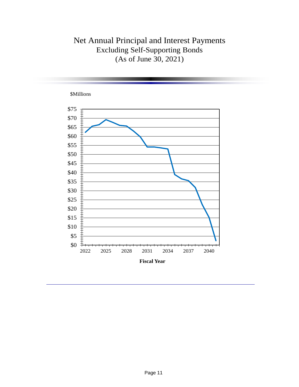# Net Annual Principal and Interest Payments Excluding Self-Supporting Bonds (As of June 30, 2021)

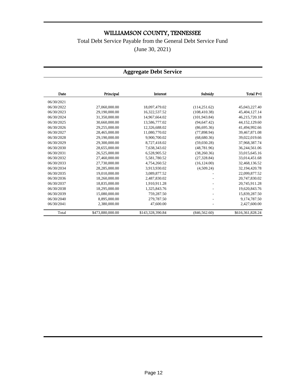### Total Debt Service Payable from the General Debt Service Fund

(June 30, 2021)

#### **Aggregate Debt Service**

| Date       | Principal        | Interest         | Subsidy       | Total P+I        |
|------------|------------------|------------------|---------------|------------------|
| 06/30/2021 |                  |                  |               |                  |
| 06/30/2022 | 27,060,000.00    | 18,097,479.02    | (114, 251.62) | 45,043,227.40    |
| 06/30/2023 | 29,190,000.00    | 16,322,537.52    | (108, 410.38) | 45,404,127.14    |
| 06/30/2024 | 31,350,000.00    | 14,967,664.02    | (101, 943.84) | 46,215,720.18    |
| 06/30/2025 | 30,660,000.00    | 13,586,777.02    | (94, 647.42)  | 44,152,129.60    |
| 06/30/2026 | 29,255,000.00    | 12,326,688.02    | (86,695.36)   | 41,494,992.66    |
| 06/30/2027 | 28,465,000.00    | 11,080,770.02    | (77, 898.94)  | 39,467,871.08    |
| 06/30/2028 | 29,190,000.00    | 9,900,700.02     | (68,680.36)   | 39,022,019.66    |
| 06/30/2029 | 29,300,000.00    | 8,727,418.02     | (59,030.28)   | 37,968,387.74    |
| 06/30/2030 | 28,655,000.00    | 7,638,343.02     | (48, 781.96)  | 36,244,561.06    |
| 06/30/2031 | 26,525,000.00    | 6,528,905.52     | (38, 260.36)  | 33,015,645.16    |
| 06/30/2032 | 27,460,000.00    | 5,581,780.52     | (27, 328.84)  | 33,014,451.68    |
| 06/30/2033 | 27,730,000.00    | 4,754,260.52     | (16, 124.00)  | 32,468,136.52    |
| 06/30/2034 | 28,285,000.00    | 3,913,930.02     | (4,509.24)    | 32,194,420.78    |
| 06/30/2035 | 19,010,000.00    | 3,089,877.52     |               | 22,099,877.52    |
| 06/30/2036 | 18,260,000.00    | 2,487,830.02     |               | 20,747,830.02    |
| 06/30/2037 | 18,835,000.00    | 1,910,911.28     |               | 20,745,911.28    |
| 06/30/2038 | 18,295,000.00    | 1,325,843.76     |               | 19,620,843.76    |
| 06/30/2039 | 15,080,000.00    | 759,287.50       |               | 15,839,287.50    |
| 06/30/2040 | 8,895,000.00     | 279,787.50       |               | 9,174,787.50     |
| 06/30/2041 | 2,380,000.00     | 47,600.00        |               | 2,427,600.00     |
| Total      | \$473,880,000.00 | \$143,328,390.84 | (846, 562.60) | \$616,361,828.24 |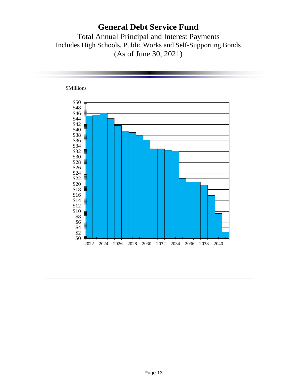### **General Debt Service Fund**

Total Annual Principal and Interest Payments Includes High Schools, Public Works and Self-Supporting Bonds (As of June 30, 2021)

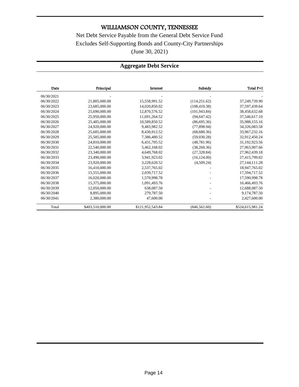Net Debt Service Payable from the General Debt Service Fund Excludes Self-Supporting Bonds and County-City Partnerships (June 30, 2021)

### **Aggregate Debt Service**

| Date       | Principal        | Interest         | Subsidy       | Total P+I        |
|------------|------------------|------------------|---------------|------------------|
| 06/30/2021 |                  |                  |               |                  |
| 06/30/2022 | 21,805,000.00    | 15,558,991.52    | (114, 251.62) | 37,249,739.90    |
| 06/30/2023 | 23,685,000.00    | 14,020,850.02    | (108, 410.38) | 37,597,439.64    |
| 06/30/2024 | 25,690,000.00    | 12,870,576.52    | (101, 943.84) | 38,458,632.68    |
| 06/30/2025 | 25,950,000.00    | 11,691,264.52    | (94, 647, 42) | 37,546,617.10    |
| 06/30/2026 | 25,485,000.00    | 10,589,850.52    | (86,695,36)   | 35,988,155.16    |
| 06/30/2027 | 24,920,000.00    | 9.483.982.52     | (77.898.94)   | 34,326,083.58    |
| 06/30/2028 | 25,605,000.00    | 8,430,912.52     | (68,680.36)   | 33,967,232.16    |
| 06/30/2029 | 25,585,000.00    | 7,386,480.52     | (59,030.28)   | 32,912,450.24    |
| 06/30/2030 | 24,810,000.00    | 6,431,705.52     | (48, 781.96)  | 31,192,923.56    |
| 06/30/2031 | 22,540,000.00    | 5,462,168.02     | (38,260.36)   | 27,963,907.66    |
| 06/30/2032 | 23,340,000.00    | 4,649,768.02     | (27, 328.84)  | 27,962,439.18    |
| 06/30/2033 | 23,490,000.00    | 3,941,923.02     | (16, 124.00)  | 27,415,799.02    |
| 06/30/2034 | 23,920,000.00    | 3,228,620.52     | (4,509.24)    | 27, 144, 111.28  |
| 06/30/2035 | 16,410,000.00    | 2,537,765.02     |               | 18,947,765.02    |
| 06/30/2036 | 15,555,000.00    | 2,039,717.52     |               | 17,594,717.52    |
| 06/30/2037 | 16.020.000.00    | 1,570,998.78     |               | 17,590,998.78    |
| 06/30/2038 | 15,375,000.00    | 1,091,493.76     |               | 16,466,493.76    |
| 06/30/2039 | 12,050,000.00    | 638,087.50       |               | 12,688,087.50    |
| 06/30/2040 | 8.895,000.00     | 279,787.50       |               | 9,174,787.50     |
| 06/30/2041 | 2,380,000.00     | 47,600.00        |               | 2,427,600.00     |
| Total      | \$403,510,000.00 | \$121,952,543.84 | (846, 562.60) | \$524,615,981.24 |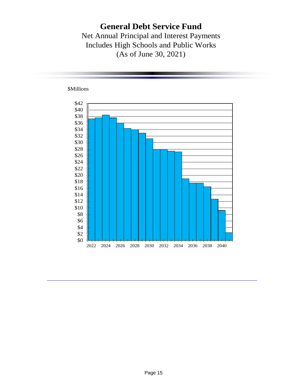## **General Debt Service Fund**

Net Annual Principal and Interest Payments Includes High Schools and Public Works (As of June 30, 2021)



\$Millions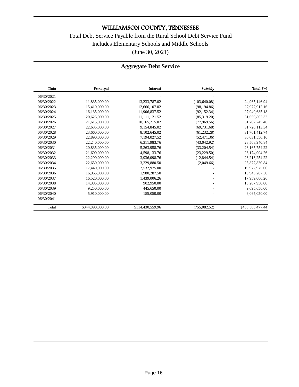### Total Debt Service Payable from the Rural School Debt Service Fund Includes Elementary Schools and Middle Schools (June 30, 2021)

### **Aggregate Debt Service**

| Date       | Principal        | Interest         | Subsidy       | Total P+I        |
|------------|------------------|------------------|---------------|------------------|
| 06/30/2021 |                  |                  |               |                  |
| 06/30/2022 | 11,835,000.00    | 13,233,787.02    | (103, 640.08) | 24,965,146.94    |
| 06/30/2023 | 15,410,000.00    | 12,666,107.02    | (98, 194.86)  | 27,977,912.16    |
| 06/30/2024 | 16,135,000.00    | 11,906,837.52    | (92, 152.34)  | 27,949,685.18    |
| 06/30/2025 | 20.625,000.00    | 11.111.121.52    | (85.319.20)   | 31.650.802.32    |
| 06/30/2026 | 21,615,000.00    | 10,165,215.02    | (77.969.56)   | 31,702,245.46    |
| 06/30/2027 | 22,635,000.00    | 9.154.845.02     | (69, 731.68)  | 31,720,113.34    |
| 06/30/2028 | 23,660,000.00    | 8,102,645.02     | (61, 232.28)  | 31,701,412.74    |
| 06/30/2029 | 22,890,000.00    | 7,194,027.52     | (52, 471, 36) | 30,031,556.16    |
| 06/30/2030 | 22,240,000.00    | 6,311,983.76     | (43,042.92)   | 28,508,940.84    |
| 06/30/2031 | 20.835,000.00    | 5.363.958.76     | (33,204.54)   | 26, 165, 754. 22 |
| 06/30/2032 | 21,600,000.00    | 4,598,133.76     | (23, 229.50)  | 26,174,904.26    |
| 06/30/2033 | 22,290,000.00    | 3,936,098.76     | (12,844.54)   | 26, 213, 254. 22 |
| 06/30/2034 | 22,650,000.00    | 3,229,880.50     | (2,049.66)    | 25,877,830.84    |
| 06/30/2035 | 17,440,000.00    | 2,532,975.00     |               | 19,972,975.00    |
| 06/30/2036 | 16,965,000.00    | 1,980,287.50     |               | 18,945,287.50    |
| 06/30/2037 | 16,520,000.00    | 1,439,006.26     |               | 17,959,006.26    |
| 06/30/2038 | 14,385,000.00    | 902,950.00       |               | 15,287,950.00    |
| 06/30/2039 | 9,250,000.00     | 445,650.00       |               | 9,695,650.00     |
| 06/30/2040 | 5,910,000.00     | 155,050.00       |               | 6,065,050.00     |
| 06/30/2041 |                  |                  |               |                  |
| Total      | \$344,890,000.00 | \$114,430,559.96 | (755,082.52)  | \$458,565,477.44 |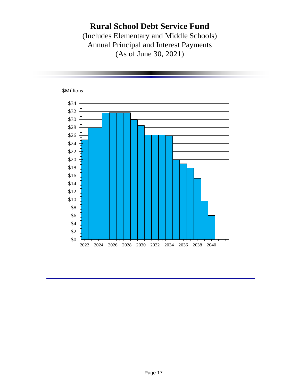## **Rural School Debt Service Fund**

(Includes Elementary and Middle Schools) Annual Principal and Interest Payments (As of June 30, 2021)

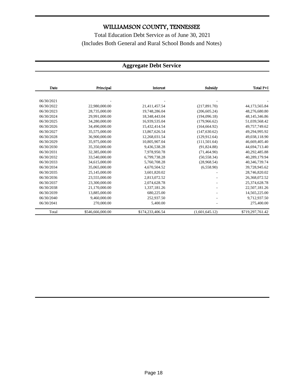Total Education Debt Service as of June 30, 2021 (Includes Both General and Rural School Bonds and Notes)

### **Aggregate Debt Service**

| Date       | Principal        | Interest         | Subsidy        | Total P+I        |
|------------|------------------|------------------|----------------|------------------|
|            |                  |                  |                |                  |
| 06/30/2021 |                  |                  |                |                  |
| 06/30/2022 | 22,980,000.00    | 21,411,457.54    | (217, 891.70)  | 44,173,565.84    |
| 06/30/2023 | 28,735,000.00    | 19,748,286.04    | (206, 605.24)  | 48,276,680.80    |
| 06/30/2024 | 29.991.000.00    | 18.348.443.04    | (194.096.18)   | 48,145,346.86    |
| 06/30/2025 | 34,280,000.00    | 16,939,535.04    | (179,966.62)   | 51,039,568.42    |
| 06/30/2026 | 34,490,000.00    | 15,432,414.54    | (164, 664.92)  | 49,757,749.62    |
| 06/30/2027 | 35,575,000.00    | 13,867,626.54    | (147.630.62)   | 49.294.995.92    |
| 06/30/2028 | 36,900,000.00    | 12,268,031.54    | (129, 912, 64) | 49,038,118.90    |
| 06/30/2029 | 35,975,000.00    | 10,805,907.04    | (111, 501.64)  | 46,669,405.40    |
| 06/30/2030 | 35,350,000.00    | 9,436,538.28     | (91, 824.88)   | 44,694,713.40    |
| 06/30/2031 | 32,385,000.00    | 7,978,950.78     | (71, 464.90)   | 40,292,485.88    |
| 06/30/2032 | 33.540.000.00    | 6,799,738.28     | (50, 558.34)   | 40,289,179.94    |
| 06/30/2033 | 34,615,000.00    | 5,760,708.28     | (28,968.54)    | 40,346,739.74    |
| 06/30/2034 | 35,065,000.00    | 4,670,504.52     | (6,558.90)     | 39,728,945.62    |
| 06/30/2035 | 25,145,000.00    | 3,601,820.02     |                | 28,746,820.02    |
| 06/30/2036 | 23,555,000.00    | 2,813,072.52     |                | 26,368,072.52    |
| 06/30/2037 | 23,300,000.00    | 2,074,628.78     |                | 25,374,628.78    |
| 06/30/2038 | 21,170,000.00    | 1,337,181.26     |                | 22,507,181.26    |
| 06/30/2039 | 13,885,000.00    | 680,225.00       |                | 14,565,225.00    |
| 06/30/2040 | 9,460,000.00     | 252,937.50       |                | 9,712,937.50     |
| 06/30/2041 | 270,000.00       | 5,400.00         |                | 275,400.00       |
| Total      | \$546,666,000.00 | \$174,233,406.54 | (1,601,645.12) | \$719,297,761.42 |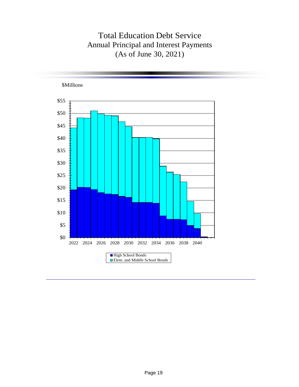## Total Education Debt Service Annual Principal and Interest Payments (As of June 30, 2021)

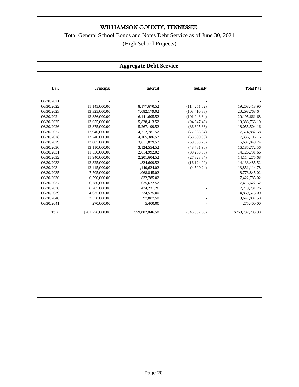Total General School Bonds and Notes Debt Service as of June 30, 2021 (High School Projects)

### **Aggregate Debt Service**

| Date       | Principal        | Interest        | Subsidy        | Total P+I        |
|------------|------------------|-----------------|----------------|------------------|
|            |                  |                 |                |                  |
| 06/30/2021 |                  |                 |                |                  |
| 06/30/2022 | 11,145,000.00    | 8,177,670.52    | (114, 251.62)  | 19,208,418.90    |
| 06/30/2023 | 13,325,000.00    | 7,082,179.02    | (108, 410.38)  | 20,298,768.64    |
| 06/30/2024 | 13,856,000.00    | 6,441,605.52    | (101, 943.84)  | 20,195,661.68    |
| 06/30/2025 | 13,655,000.00    | 5,828,413.52    | (94, 647.42)   | 19,388,766.10    |
| 06/30/2026 | 12,875,000.00    | 5,267,199.52    | (86,695.36)    | 18,055,504.16    |
| 06/30/2027 | 12,940,000.00    | 4,712,781.52    | (77,898.94)    | 17,574,882.58    |
| 06/30/2028 | 13,240,000.00    | 4,165,386.52    | (68,680.36)    | 17,336,706.16    |
| 06/30/2029 | 13,085,000.00    | 3,611,879.52    | (59,030.28)    | 16,637,849.24    |
| 06/30/2030 | 13,110,000.00    | 3,124,554.52    | (48, 781.96)   | 16,185,772.56    |
| 06/30/2031 | 11,550,000.00    | 2,614,992.02    | (38, 260.36)   | 14,126,731.66    |
| 06/30/2032 | 11.940.000.00    | 2,201,604.52    | (27, 328.84)   | 14, 114, 275.68  |
| 06/30/2033 | 12,325,000.00    | 1.824.609.52    | (16, 124.00)   | 14,133,485.52    |
| 06/30/2034 | 12,415,000.00    | 1,440,624.02    | (4,509.24)     | 13,851,114.78    |
| 06/30/2035 | 7,705,000.00     | 1,068,845.02    |                | 8,773,845.02     |
| 06/30/2036 | 6,590,000.00     | 832,785.02      |                | 7,422,785.02     |
| 06/30/2037 | 6,780,000.00     | 635,622.52      |                | 7,415,622.52     |
| 06/30/2038 | 6,785,000.00     | 434,231.26      |                | 7,219,231.26     |
| 06/30/2039 | 4,635,000.00     | 234,575.00      |                | 4,869,575.00     |
| 06/30/2040 | 3,550,000.00     | 97,887.50       |                | 3,647,887.50     |
| 06/30/2041 | 270,000.00       | 5,400.00        |                | 275,400.00       |
| Total      | \$201,776,000.00 | \$59,802,846.58 | (846, 562, 60) | \$260,732,283.98 |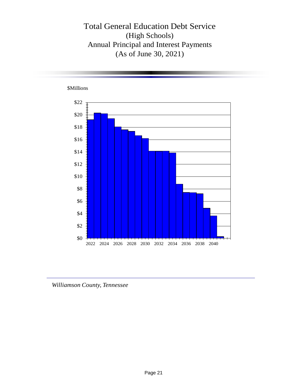Total General Education Debt Service (High Schools) Annual Principal and Interest Payments (As of June 30, 2021)



*Williamson County, Tennessee*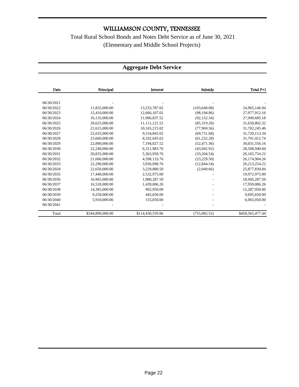Total Rural School Bonds and Notes Debt Service as of June 30, 2021 (Elementary and Middle School Projects)

#### **Aggregate Debt Service**

| Date       | Principal        | Interest         | Subsidy       | Total P+I        |
|------------|------------------|------------------|---------------|------------------|
|            |                  |                  |               |                  |
| 06/30/2021 |                  |                  |               |                  |
| 06/30/2022 | 11,835,000.00    | 13,233,787.02    | (103, 640.08) | 24,965,146.94    |
| 06/30/2023 | 15,410,000.00    | 12,666,107.02    | (98.194.86)   | 27,977,912.16    |
| 06/30/2024 | 16,135,000.00    | 11,906,837.52    | (92, 152.34)  | 27,949,685.18    |
| 06/30/2025 | 20,625,000.00    | 11, 111, 121.52  | (85,319.20)   | 31,650,802.32    |
| 06/30/2026 | 21,615,000.00    | 10,165,215.02    | (77,969.56)   | 31,702,245.46    |
| 06/30/2027 | 22,635,000.00    | 9.154.845.02     | (69, 731.68)  | 31,720,113.34    |
| 06/30/2028 | 23,660,000.00    | 8.102.645.02     | (61, 232, 28) | 31,701,412.74    |
| 06/30/2029 | 22,890,000.00    | 7,194,027.52     | (52, 471, 36) | 30,031,556.16    |
| 06/30/2030 | 22.240,000.00    | 6.311.983.76     | (43,042.92)   | 28,508,940.84    |
| 06/30/2031 | 20.835,000.00    | 5.363.958.76     | (33, 204.54)  | 26, 165, 754. 22 |
| 06/30/2032 | 21,600,000.00    | 4,598,133.76     | (23, 229.50)  | 26,174,904.26    |
| 06/30/2033 | 22,290,000.00    | 3,936,098.76     | (12, 844.54)  | 26, 213, 254. 22 |
| 06/30/2034 | 22,650,000.00    | 3,229,880.50     | (2,049.66)    | 25,877,830.84    |
| 06/30/2035 | 17,440,000.00    | 2,532,975.00     |               | 19,972,975.00    |
| 06/30/2036 | 16.965.000.00    | 1.980.287.50     |               | 18.945.287.50    |
| 06/30/2037 | 16,520,000.00    | 1,439,006.26     |               | 17,959,006.26    |
| 06/30/2038 | 14,385,000.00    | 902,950.00       |               | 15,287,950.00    |
| 06/30/2039 | 9,250,000.00     | 445,650.00       |               | 9,695,650.00     |
| 06/30/2040 | 5,910,000.00     | 155,050.00       |               | 6,065,050.00     |
| 06/30/2041 |                  |                  |               |                  |
| Total      | \$344,890,000.00 | \$114,430,559.96 | (755,082.52)  | \$458,565,477.44 |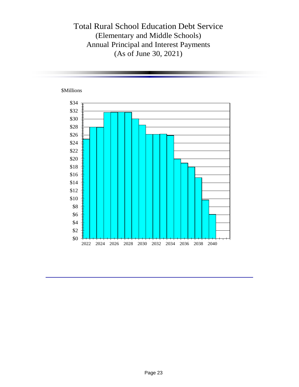## Total Rural School Education Debt Service (Elementary and Middle Schools) Annual Principal and Interest Payments (As of June 30, 2021)

#### \$Millions

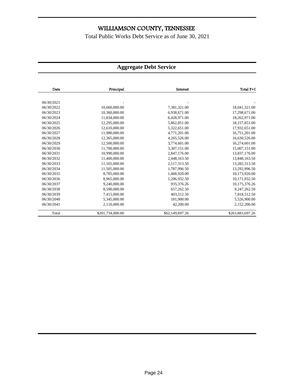Total Public Works Debt Service as of June 30, 2021

### **Aggregate Debt Service**

| Date       | Principal        | Interest        | Total P+I        |
|------------|------------------|-----------------|------------------|
|            |                  |                 |                  |
| 06/30/2021 |                  |                 |                  |
| 06/30/2022 | 10,660,000.00    | 7,381,321.00    | 18,041,321.00    |
| 06/30/2023 | 10,360,000.00    | 6,938,671.00    | 17,298,671.00    |
| 06/30/2024 | 11,834,000.00    | 6,428,971.00    | 18,262,971.00    |
| 06/30/2025 | 12,295,000.00    | 5,862,851.00    | 18,157,851.00    |
| 06/30/2026 | 12,610,000.00    | 5,322,651.00    | 17,932,651.00    |
| 06/30/2027 | 11,980,000.00    | 4,771,201.00    | 16,751,201.00    |
| 06/30/2028 | 12,365,000.00    | 4,265,526.00    | 16,630,526.00    |
| 06/30/2029 | 12,500,000.00    | 3,774,601.00    | 16,274,601.00    |
| 06/30/2030 | 11,700,000.00    | 3,307,151.00    | 15,007,151.00    |
| 06/30/2031 | 10,990,000.00    | 2,847,176.00    | 13,837,176.00    |
| 06/30/2032 | 11,400,000.00    | 2,448,163.50    | 13,848,163.50    |
| 06/30/2033 | 11,165,000.00    | 2,117,313.50    | 13,282,313.50    |
| 06/30/2034 | 11,505,000.00    | 1,787,996.50    | 13,292,996.50    |
| 06/30/2035 | 8,705,000.00     | 1,468,920.00    | 10,173,920.00    |
| 06/30/2036 | 8,965,000.00     | 1,206,932.50    | 10,171,932.50    |
| 06/30/2037 | 9.240.000.00     | 935,376.26      | 10,175,376.26    |
| 06/30/2038 | 8,590,000.00     | 657,262.50      | 9,247,262.50     |
| 06/30/2039 | 7,415,000.00     | 403,512.50      | 7,818,512.50     |
| 06/30/2040 | 5,345,000.00     | 181,900.00      | 5,526,900.00     |
| 06/30/2041 | 2,110,000.00     | 42,200.00       | 2,152,200.00     |
| Total      | \$201,734,000.00 | \$62,149,697.26 | \$263,883,697.26 |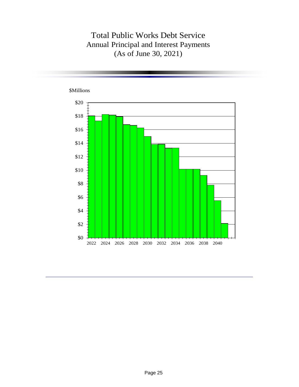### Total Public Works Debt Service Annual Principal and Interest Payments (As of June 30, 2021)

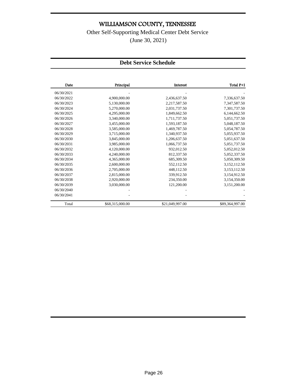Other Self-Supporting Medical Center Debt Service

(June 30, 2021)

#### **Debt Service Schedule**

| Date       | Principal       | Interest        | Total P+I       |
|------------|-----------------|-----------------|-----------------|
| 06/30/2021 |                 |                 |                 |
| 06/30/2022 | 4,900,000.00    | 2,436,637.50    | 7,336,637.50    |
| 06/30/2023 | 5,130,000.00    | 2,217,587.50    | 7,347,587.50    |
| 06/30/2024 | 5,270,000.00    | 2,031,737.50    | 7,301,737.50    |
| 06/30/2025 | 4,295,000.00    | 1,849,662.50    | 6,144,662.50    |
| 06/30/2026 | 3,340,000.00    | 1,711,737.50    | 5,051,737.50    |
| 06/30/2027 | 3,455,000.00    | 1,593,187.50    | 5,048,187.50    |
| 06/30/2028 | 3,585,000.00    | 1,469,787.50    | 5,054,787.50    |
| 06/30/2029 | 3,715,000.00    | 1,340,937.50    | 5,055,937.50    |
| 06/30/2030 | 3,845,000.00    | 1,206,637.50    | 5,051,637.50    |
| 06/30/2031 | 3,985,000.00    | 1,066,737.50    | 5,051,737.50    |
| 06/30/2032 | 4,120,000.00    | 932,012.50      | 5,052,012.50    |
| 06/30/2033 | 4,240,000.00    | 812,337.50      | 5,052,337.50    |
| 06/30/2034 | 4,365,000.00    | 685,309.50      | 5,050,309.50    |
| 06/30/2035 | 2,600,000.00    | 552,112.50      | 3,152,112.50    |
| 06/30/2036 | 2,705,000.00    | 448,112.50      | 3,153,112.50    |
| 06/30/2037 | 2,815,000.00    | 339,912.50      | 3,154,912.50    |
| 06/30/2038 | 2,920,000.00    | 234,350.00      | 3,154,350.00    |
| 06/30/2039 | 3,030,000.00    | 121,200.00      | 3,151,200.00    |
| 06/30/2040 |                 |                 |                 |
| 06/30/2041 |                 |                 |                 |
| Total      | \$68,315,000.00 | \$21,049,997.00 | \$89,364,997.00 |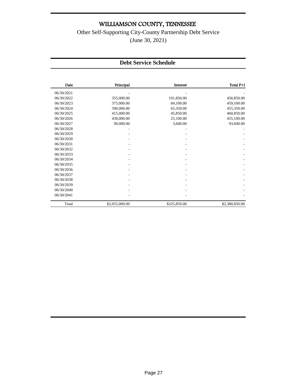Other Self-Supporting City-County Partnership Debt Service (June 30, 2021)

#### **Debt Service Schedule**

| Date       | Principal      | Interest     | Total P+I      |
|------------|----------------|--------------|----------------|
| 06/30/2021 |                |              |                |
| 06/30/2022 | 355,000.00     | 101,850.00   | 456,850.00     |
| 06/30/2023 | 375,000.00     | 84,100.00    | 459,100.00     |
| 06/30/2024 | 390,000.00     | 65,350.00    | 455,350.00     |
| 06/30/2025 | 415,000.00     | 45,850.00    | 460,850.00     |
| 06/30/2026 | 430,000.00     | 25,100.00    | 455,100.00     |
| 06/30/2027 | 90,000.00      | 3,600.00     | 93,600.00      |
| 06/30/2028 |                |              |                |
| 06/30/2029 |                |              |                |
| 06/30/2030 |                |              |                |
| 06/30/2031 |                |              |                |
| 06/30/2032 |                |              |                |
| 06/30/2033 |                |              |                |
| 06/30/2034 |                |              |                |
| 06/30/2035 |                |              |                |
| 06/30/2036 |                |              |                |
| 06/30/2037 |                |              |                |
| 06/30/2038 |                |              |                |
| 06/30/2039 |                |              |                |
| 06/30/2040 |                |              |                |
| 06/30/2041 |                |              |                |
| Total      | \$2,055,000.00 | \$325,850.00 | \$2,380,850.00 |